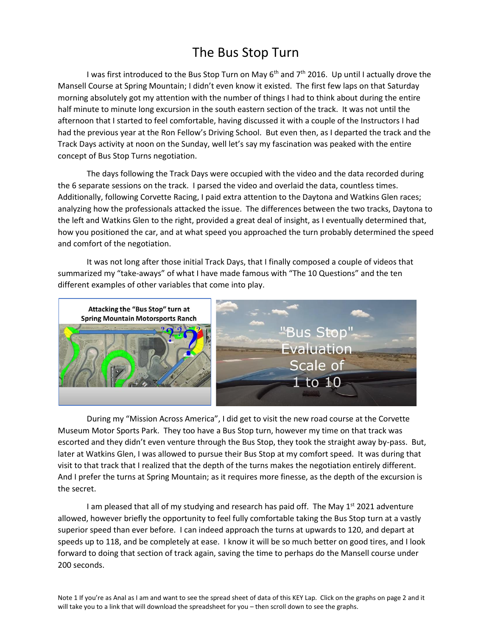## The Bus Stop Turn

I was first introduced to the Bus Stop Turn on May 6<sup>th</sup> and 7<sup>th</sup> 2016. Up until I actually drove the Mansell Course at Spring Mountain; I didn't even know it existed. The first few laps on that Saturday morning absolutely got my attention with the number of things I had to think about during the entire half minute to minute long excursion in the south eastern section of the track. It was not until the afternoon that I started to feel comfortable, having discussed it with a couple of the Instructors I had had the previous year at the Ron Fellow's Driving School. But even then, as I departed the track and the Track Days activity at noon on the Sunday, well let's say my fascination was peaked with the entire concept of Bus Stop Turns negotiation.

The days following the Track Days were occupied with the video and the data recorded during the 6 separate sessions on the track. I parsed the video and overlaid the data, countless times. Additionally, following Corvette Racing, I paid extra attention to the Daytona and Watkins Glen races; analyzing how the professionals attacked the issue. The differences between the two tracks, Daytona to the left and Watkins Glen to the right, provided a great deal of insight, as I eventually determined that, how you positioned the car, and at what speed you approached the turn probably determined the speed and comfort of the negotiation.

It was not long after those initial Track Days, that I finally composed a couple of videos that summarized my "take-aways" of what I have made famous with "The 10 Questions" and the ten different examples of other variables that come into play.



During my "Mission Across America", I did get to visit the new road course at the Corvette Museum Motor Sports Park. They too have a Bus Stop turn, however my time on that track was escorted and they didn't even venture through the Bus Stop, they took the straight away by-pass. But, later at Watkins Glen, I was allowed to pursue their Bus Stop at my comfort speed. It was during that visit to that track that I realized that the depth of the turns makes the negotiation entirely different. And I prefer the turns at Spring Mountain; as it requires more finesse, as the depth of the excursion is the secret.

I am pleased that all of my studying and research has paid off. The May  $1<sup>st</sup>$  2021 adventure allowed, however briefly the opportunity to feel fully comfortable taking the Bus Stop turn at a vastly superior speed than ever before. I can indeed approach the turns at upwards to 120, and depart at speeds up to 118, and be completely at ease. I know it will be so much better on good tires, and I look forward to doing that section of track again, saving the time to perhaps do the Mansell course under 200 seconds.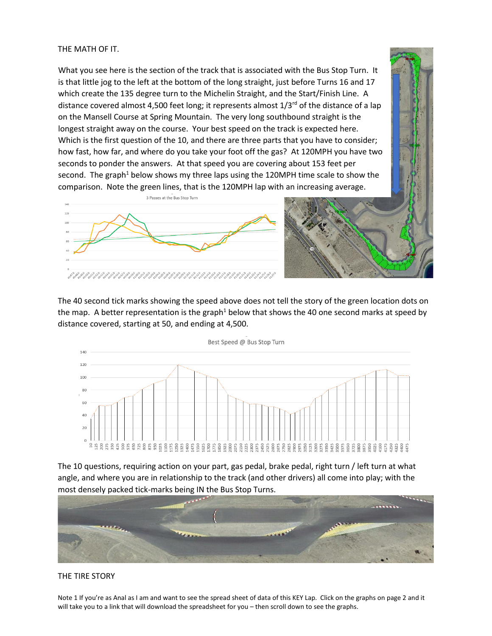## THE MATH OF IT.

What you see here is the section of the track that is associated with the Bus Stop Turn. It is that little jog to the left at the bottom of the long straight, just before Turns 16 and 17 which create the 135 degree turn to the Michelin Straight, and the Start/Finish Line. A distance covered almost 4,500 feet long; it represents almost  $1/3<sup>rd</sup>$  of the distance of a lap on the Mansell Course at Spring Mountain. The very long southbound straight is the longest straight away on the course. Your best speed on the track is expected here. Which is the first question of the 10, and there are three parts that you have to consider; how fast, how far, and where do you take your foot off the gas? At 120MPH you have two seconds to ponder the answers. At that speed you are covering about 153 feet per second. The graph<sup>1</sup> below shows my three laps using the 120MPH time scale to show the comparison. Note the green lines, that is the 120MPH lap with an increasing average.



The 40 second tick marks showing the speed above does not tell the story of the green location dots on the map. A better representation is the graph<sup>1</sup> below that shows the 40 one second marks at speed by distance covered, starting at 50, and ending at 4,500.



The 10 questions, requiring action on your part, gas pedal, brake pedal, right turn / left turn at what angle, and where you are in relationship to the track (and other drivers) all come into play; with the most densely packed tick-marks being IN the Bus Stop Turns.



## THE TIRE STORY

Note 1 If you're as Anal as I am and want to see the spread sheet of data of this KEY Lap. Click on the graphs on page 2 and it will take you to a link that will download the spreadsheet for you – then scroll down to see the graphs.